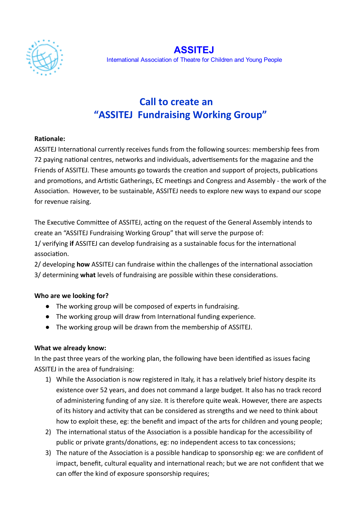

ASSITEJ International Association of Theatre for Children and Young People

# Call to create an "ASSITEJ Fundraising Working Group"

#### Rationale:

ASSITEJ International currently receives funds from the following sources: membership fees from 72 paying national centres, networks and individuals, advertisements for the magazine and the Friends of ASSITEJ. These amounts go towards the creation and support of projects, publications and promotions, and Artistic Gatherings, EC meetings and Congress and Assembly - the work of the Association. However, to be sustainable, ASSITEJ needs to explore new ways to expand our scope for revenue raising.

The Executive Committee of ASSITEJ, acting on the request of the General Assembly intends to create an "ASSITEJ Fundraising Working Group" that will serve the purpose of:

1/ verifying if ASSITEJ can develop fundraising as a sustainable focus for the international association.

2/ developing how ASSITEJ can fundraise within the challenges of the international association  $3/$  determining what levels of fundraising are possible within these considerations.

### Who are we looking for?

- The working group will be composed of experts in fundraising.
- The working group will draw from International funding experience.
- The working group will be drawn from the membership of ASSITEJ.

### What we already know:

In the past three years of the working plan, the following have been identified as issues facing ASSITEJ in the area of fundraising:

- 1) While the Association is now registered in Italy, it has a relatively brief history despite its existence over 52 years, and does not command a large budget. It also has no track record of administering funding of any size. It is therefore quite weak. However, there are aspects of its history and activity that can be considered as strengths and we need to think about how to exploit these, eg: the benefit and impact of the arts for children and young people;
- 2) The international status of the Association is a possible handicap for the accessibility of public or private grants/donations, eg: no independent access to tax concessions;
- 3) The nature of the Association is a possible handicap to sponsorship eg: we are confident of impact, benefit, cultural equality and international reach; but we are not confident that we can offer the kind of exposure sponsorship requires;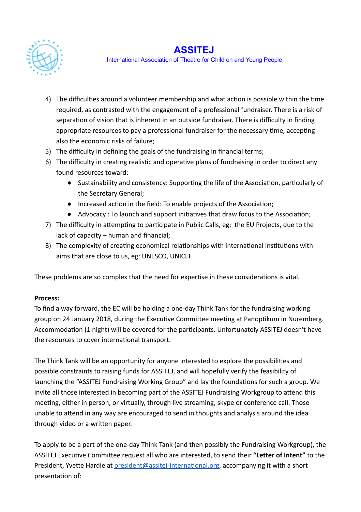

### ASSITEJ

International Association of Theatre for Children and Young People

- 4) The difficulties around a volunteer membership and what action is possible within the time required, as contrasted with the engagement of a professional fundraiser. There is a risk of separation of vision that is inherent in an outside fundraiser. There is difficulty in finding appropriate resources to pay a professional fundraiser for the necessary time, accepting also the economic risks of failure;
- 5) The difficulty in defining the goals of the fundraising in financial terms;
- 6) The difficulty in creating realistic and operative plans of fundraising in order to direct any found resources toward:
	- Sustainability and consistency: Supporting the life of the Association, particularly of the Secretary General;
	- Increased action in the field: To enable projects of the Association;
	- Advocacy : To launch and support initiatives that draw focus to the Association;
- 7) The difficulty in attempting to participate in Public Calls, eg; the EU Projects, due to the lack of capacity – human and financial;
- 8) The complexity of creating economical relationships with international institutions with aims that are close to us, eg: UNESCO, UNICEF.

These problems are so complex that the need for expertise in these considerations is vital.

### Process:

To find a way forward, the EC will be holding a one‐day Think Tank for the fundraising working group on 24 January 2018, during the Executive Committee meeting at Panoptikum in Nuremberg. Accommodation (1 night) will be covered for the participants. Unfortunately ASSITEJ doesn't have the resources to cover international transport.

The Think Tank will be an opportunity for anyone interested to explore the possibilities and possible constraints to raising funds for ASSITEJ, and will hopefully verify the feasibility of launching the "ASSITEJ Fundraising Working Group" and lay the foundations for such a group. We invite all those interested in becoming part of the ASSITEJ Fundraising Workgroup to attend this meeting, either in person, or virtually, through live streaming, skype or conference call. Those unable to attend in any way are encouraged to send in thoughts and analysis around the idea through video or a written paper.

To apply to be a part of the one‐day Think Tank (and then possibly the Fundraising Workgroup), the ASSITEJ Executive Committee request all who are interested, to send their "Letter of Intent" to the President, Yvette Hardie at president@assitej-international.org, accompanying it with a short presentation of: